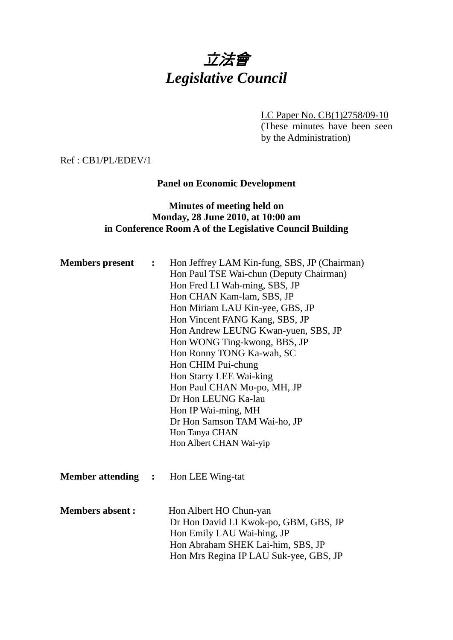# 立法會 *Legislative Council*

LC Paper No. CB(1)2758/09-10 (These minutes have been seen by the Administration)

Ref : CB1/PL/EDEV/1

## **Panel on Economic Development**

## **Minutes of meeting held on Monday, 28 June 2010, at 10:00 am in Conference Room A of the Legislative Council Building**

| <b>Members</b> present    | $\mathcal{L} = \mathcal{L}$ | Hon Jeffrey LAM Kin-fung, SBS, JP (Chairman)<br>Hon Paul TSE Wai-chun (Deputy Chairman)<br>Hon Fred LI Wah-ming, SBS, JP<br>Hon CHAN Kam-lam, SBS, JP<br>Hon Miriam LAU Kin-yee, GBS, JP<br>Hon Vincent FANG Kang, SBS, JP<br>Hon Andrew LEUNG Kwan-yuen, SBS, JP<br>Hon WONG Ting-kwong, BBS, JP<br>Hon Ronny TONG Ka-wah, SC<br>Hon CHIM Pui-chung<br>Hon Starry LEE Wai-king<br>Hon Paul CHAN Mo-po, MH, JP<br>Dr Hon LEUNG Ka-lau<br>Hon IP Wai-ming, MH<br>Dr Hon Samson TAM Wai-ho, JP<br>Hon Tanya CHAN<br>Hon Albert CHAN Wai-yip |
|---------------------------|-----------------------------|-------------------------------------------------------------------------------------------------------------------------------------------------------------------------------------------------------------------------------------------------------------------------------------------------------------------------------------------------------------------------------------------------------------------------------------------------------------------------------------------------------------------------------------------|
| <b>Member attending :</b> |                             | Hon LEE Wing-tat                                                                                                                                                                                                                                                                                                                                                                                                                                                                                                                          |
| <b>Members absent:</b>    |                             | Hon Albert HO Chun-yan<br>Dr Hon David LI Kwok-po, GBM, GBS, JP<br>Hon Emily LAU Wai-hing, JP<br>Hon Abraham SHEK Lai-him, SBS, JP<br>Hon Mrs Regina IP LAU Suk-yee, GBS, JP                                                                                                                                                                                                                                                                                                                                                              |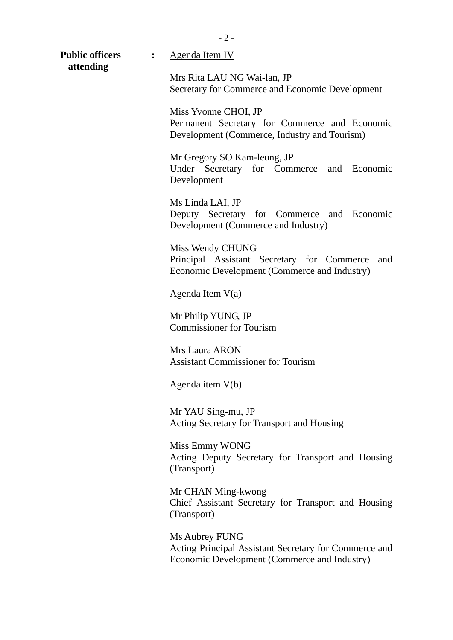| <b>Public officers</b><br>attending | $\ddot{\cdot}$ | Agenda Item IV                                                                                                        |
|-------------------------------------|----------------|-----------------------------------------------------------------------------------------------------------------------|
|                                     |                | Mrs Rita LAU NG Wai-lan, JP<br>Secretary for Commerce and Economic Development                                        |
|                                     |                | Miss Yvonne CHOI, JP<br>Permanent Secretary for Commerce and Economic<br>Development (Commerce, Industry and Tourism) |
|                                     |                | Mr Gregory SO Kam-leung, JP<br>Under Secretary for Commerce and Economic<br>Development                               |
|                                     |                | Ms Linda LAI, JP<br>Deputy Secretary for Commerce and Economic<br>Development (Commerce and Industry)                 |
|                                     |                | Miss Wendy CHUNG<br>Principal Assistant Secretary for Commerce<br>and<br>Economic Development (Commerce and Industry) |
|                                     |                | <u>Agenda Item V(a)</u>                                                                                               |
|                                     |                | Mr Philip YUNG, JP<br><b>Commissioner for Tourism</b>                                                                 |
|                                     |                | <b>Mrs Laura ARON</b><br><b>Assistant Commissioner for Tourism</b>                                                    |
|                                     |                | Agenda item V(b)                                                                                                      |
|                                     |                | Mr YAU Sing-mu, JP<br>Acting Secretary for Transport and Housing                                                      |
|                                     |                | Miss Emmy WONG<br>Acting Deputy Secretary for Transport and Housing<br>(Transport)                                    |
|                                     |                | Mr CHAN Ming-kwong<br>Chief Assistant Secretary for Transport and Housing<br>(Transport)                              |
|                                     |                | <b>THILO</b>                                                                                                          |

Ms Aubrey FUNG Acting Principal Assistant Secretary for Commerce and Economic Development (Commerce and Industry)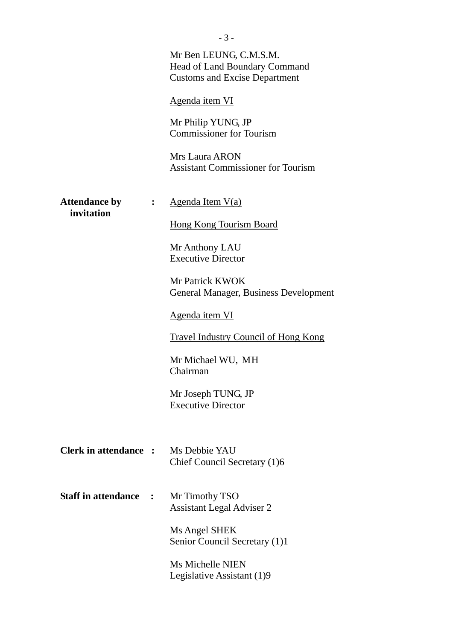|                                    |                | - 2 -                                                                                           |
|------------------------------------|----------------|-------------------------------------------------------------------------------------------------|
|                                    |                | Mr Ben LEUNG, C.M.S.M.<br>Head of Land Boundary Command<br><b>Customs and Excise Department</b> |
|                                    |                | Agenda item VI                                                                                  |
|                                    |                | Mr Philip YUNG, JP<br><b>Commissioner for Tourism</b>                                           |
|                                    |                | <b>Mrs Laura ARON</b><br><b>Assistant Commissioner for Tourism</b>                              |
| <b>Attendance by</b><br>invitation | $\ddot{\cdot}$ | <u>Agenda Item V(a)</u>                                                                         |
|                                    |                | <b>Hong Kong Tourism Board</b>                                                                  |
|                                    |                | Mr Anthony LAU<br><b>Executive Director</b>                                                     |
|                                    |                | Mr Patrick KWOK<br>General Manager, Business Development                                        |
|                                    |                | Agenda item VI                                                                                  |
|                                    |                | <b>Travel Industry Council of Hong Kong</b>                                                     |
|                                    |                | Mr Michael WU, MH<br>Chairman                                                                   |
|                                    |                | Mr Joseph TUNG, JP<br><b>Executive Director</b>                                                 |
| <b>Clerk in attendance :</b>       |                | Ms Debbie YAU<br>Chief Council Secretary (1)6                                                   |
| <b>Staff in attendance</b>         | $\ddot{\cdot}$ | Mr Timothy TSO<br><b>Assistant Legal Adviser 2</b>                                              |
|                                    |                | Ms Angel SHEK<br>Senior Council Secretary (1)1                                                  |
|                                    |                | <b>Ms Michelle NIEN</b><br>Legislative Assistant (1)9                                           |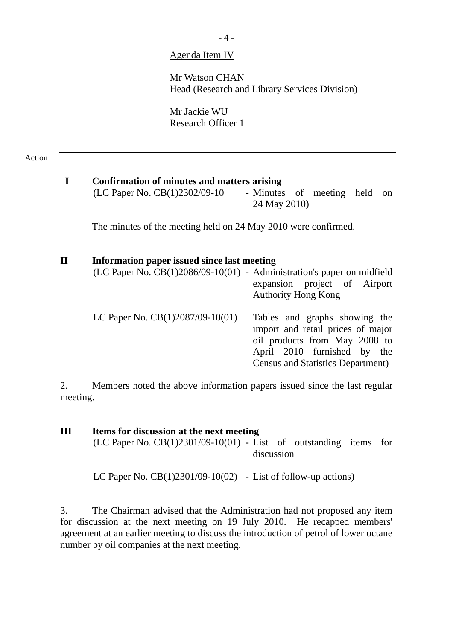- 4 -

#### Agenda Item IV

Mr Watson CHAN Head (Research and Library Services Division)

Mr Jackie WU Research Officer 1

#### Action

# **I Confirmation of minutes and matters arising**   $(LC$  Paper No.  $CB(1)2302/09-10$  - Minutes of meeting held on 24 May 2010) The minutes of the meeting held on 24 May 2010 were confirmed. **II Information paper issued since last meeting**

| milor minister puper novueu omee mot meeting                               |                                                                                                     |
|----------------------------------------------------------------------------|-----------------------------------------------------------------------------------------------------|
| $(LC$ Paper No. $CB(1)2086/09-10(01)$ - Administration's paper on midfield | expansion project of Airport                                                                        |
|                                                                            | <b>Authority Hong Kong</b>                                                                          |
| LC Paper No. CB(1)2087/09-10(01)                                           | Tables and graphs showing the<br>import and retail prices of major<br>oil products from May 2008 to |
|                                                                            | April 2010 furnished by the                                                                         |
|                                                                            | <b>Census and Statistics Department</b> )                                                           |

2. Members noted the above information papers issued since the last regular meeting.

| Ш | Items for discussion at the next meeting                              |
|---|-----------------------------------------------------------------------|
|   | $(LC$ Paper No. $CB(1)2301/09-10(01)$ - List of outstanding items for |
|   | discussion                                                            |
|   | LC Paper No. $CB(1)2301/09-10(02)$ - List of follow-up actions)       |

3. The Chairman advised that the Administration had not proposed any item for discussion at the next meeting on 19 July 2010. He recapped members' agreement at an earlier meeting to discuss the introduction of petrol of lower octane number by oil companies at the next meeting.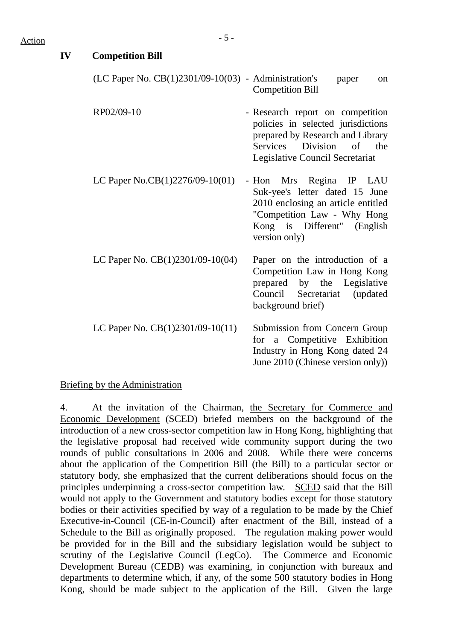| IV | <b>Competition Bill</b>                                  |                                                                                                                                                                                   |
|----|----------------------------------------------------------|-----------------------------------------------------------------------------------------------------------------------------------------------------------------------------------|
|    | $(LC$ Paper No. $CB(1)2301/09-10(03)$ - Administration's | paper<br>on<br><b>Competition Bill</b>                                                                                                                                            |
|    | RP02/09-10                                               | - Research report on competition<br>policies in selected jurisdictions<br>prepared by Research and Library<br>Services<br>Division<br>of the<br>Legislative Council Secretariat   |
|    | LC Paper No.CB(1)2276/09-10(01)                          | Regina IP LAU<br>- Hon Mrs<br>Suk-yee's letter dated 15 June<br>2010 enclosing an article entitled<br>"Competition Law - Why Hong<br>Kong is Different" (English<br>version only) |
|    | LC Paper No. $CB(1)2301/09-10(04)$                       | Paper on the introduction of a<br>Competition Law in Hong Kong<br>prepared by the Legislative<br>Council Secretariat<br>(updated<br>background brief)                             |
|    | LC Paper No. $CB(1)2301/09-10(11)$                       | Submission from Concern Group<br>for a Competitive Exhibition<br>Industry in Hong Kong dated 24<br>June 2010 (Chinese version only))                                              |

### Briefing by the Administration

4. At the invitation of the Chairman, the Secretary for Commerce and Economic Development (SCED) briefed members on the background of the introduction of a new cross-sector competition law in Hong Kong, highlighting that the legislative proposal had received wide community support during the two rounds of public consultations in 2006 and 2008. While there were concerns about the application of the Competition Bill (the Bill) to a particular sector or statutory body, she emphasized that the current deliberations should focus on the principles underpinning a cross-sector competition law. SCED said that the Bill would not apply to the Government and statutory bodies except for those statutory bodies or their activities specified by way of a regulation to be made by the Chief Executive-in-Council (CE-in-Council) after enactment of the Bill, instead of a Schedule to the Bill as originally proposed. The regulation making power would be provided for in the Bill and the subsidiary legislation would be subject to scrutiny of the Legislative Council (LegCo). The Commerce and Economic Development Bureau (CEDB) was examining, in conjunction with bureaux and departments to determine which, if any, of the some 500 statutory bodies in Hong Kong, should be made subject to the application of the Bill. Given the large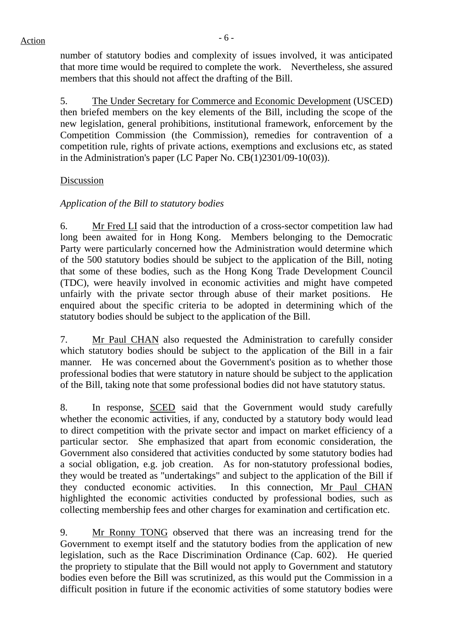number of statutory bodies and complexity of issues involved, it was anticipated that more time would be required to complete the work. Nevertheless, she assured members that this should not affect the drafting of the Bill.

5. The Under Secretary for Commerce and Economic Development (USCED) then briefed members on the key elements of the Bill, including the scope of the new legislation, general prohibitions, institutional framework, enforcement by the Competition Commission (the Commission), remedies for contravention of a competition rule, rights of private actions, exemptions and exclusions etc, as stated in the Administration's paper (LC Paper No. CB(1)2301/09-10(03)).

## Discussion

## *Application of the Bill to statutory bodies*

6. Mr Fred LI said that the introduction of a cross-sector competition law had long been awaited for in Hong Kong. Members belonging to the Democratic Party were particularly concerned how the Administration would determine which of the 500 statutory bodies should be subject to the application of the Bill, noting that some of these bodies, such as the Hong Kong Trade Development Council (TDC), were heavily involved in economic activities and might have competed unfairly with the private sector through abuse of their market positions. He enquired about the specific criteria to be adopted in determining which of the statutory bodies should be subject to the application of the Bill.

7. Mr Paul CHAN also requested the Administration to carefully consider which statutory bodies should be subject to the application of the Bill in a fair manner. He was concerned about the Government's position as to whether those professional bodies that were statutory in nature should be subject to the application of the Bill, taking note that some professional bodies did not have statutory status.

8. In response, SCED said that the Government would study carefully whether the economic activities, if any, conducted by a statutory body would lead to direct competition with the private sector and impact on market efficiency of a particular sector. She emphasized that apart from economic consideration, the Government also considered that activities conducted by some statutory bodies had a social obligation, e.g. job creation. As for non-statutory professional bodies, they would be treated as "undertakings" and subject to the application of the Bill if they conducted economic activities. In this connection, Mr Paul CHAN highlighted the economic activities conducted by professional bodies, such as collecting membership fees and other charges for examination and certification etc.

9. Mr Ronny TONG observed that there was an increasing trend for the Government to exempt itself and the statutory bodies from the application of new legislation, such as the Race Discrimination Ordinance (Cap. 602). He queried the propriety to stipulate that the Bill would not apply to Government and statutory bodies even before the Bill was scrutinized, as this would put the Commission in a difficult position in future if the economic activities of some statutory bodies were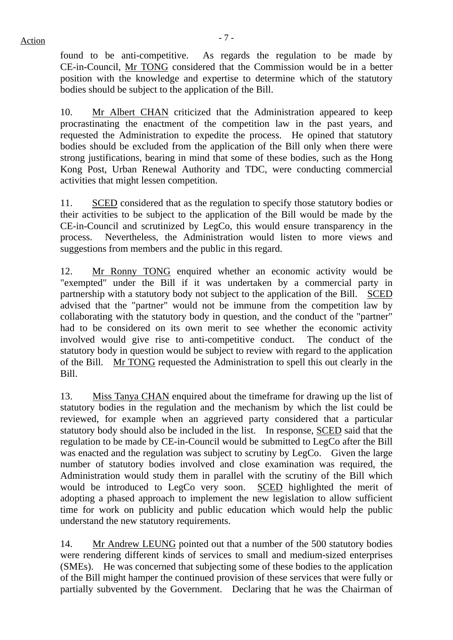$Action$ 

found to be anti-competitive. As regards the regulation to be made by CE-in-Council, Mr TONG considered that the Commission would be in a better position with the knowledge and expertise to determine which of the statutory bodies should be subject to the application of the Bill.

10. Mr Albert CHAN criticized that the Administration appeared to keep procrastinating the enactment of the competition law in the past years, and requested the Administration to expedite the process. He opined that statutory bodies should be excluded from the application of the Bill only when there were strong justifications, bearing in mind that some of these bodies, such as the Hong Kong Post, Urban Renewal Authority and TDC, were conducting commercial activities that might lessen competition.

11. SCED considered that as the regulation to specify those statutory bodies or their activities to be subject to the application of the Bill would be made by the CE-in-Council and scrutinized by LegCo, this would ensure transparency in the process. Nevertheless, the Administration would listen to more views and suggestions from members and the public in this regard.

12. Mr Ronny TONG enquired whether an economic activity would be "exempted" under the Bill if it was undertaken by a commercial party in partnership with a statutory body not subject to the application of the Bill. SCED advised that the "partner" would not be immune from the competition law by collaborating with the statutory body in question, and the conduct of the "partner" had to be considered on its own merit to see whether the economic activity involved would give rise to anti-competitive conduct. The conduct of the statutory body in question would be subject to review with regard to the application of the Bill. Mr TONG requested the Administration to spell this out clearly in the Bill.

13. Miss Tanya CHAN enquired about the timeframe for drawing up the list of statutory bodies in the regulation and the mechanism by which the list could be reviewed, for example when an aggrieved party considered that a particular statutory body should also be included in the list. In response, SCED said that the regulation to be made by CE-in-Council would be submitted to LegCo after the Bill was enacted and the regulation was subject to scrutiny by LegCo. Given the large number of statutory bodies involved and close examination was required, the Administration would study them in parallel with the scrutiny of the Bill which would be introduced to LegCo very soon. SCED highlighted the merit of adopting a phased approach to implement the new legislation to allow sufficient time for work on publicity and public education which would help the public understand the new statutory requirements.

14. Mr Andrew LEUNG pointed out that a number of the 500 statutory bodies were rendering different kinds of services to small and medium-sized enterprises (SMEs). He was concerned that subjecting some of these bodies to the application of the Bill might hamper the continued provision of these services that were fully or partially subvented by the Government. Declaring that he was the Chairman of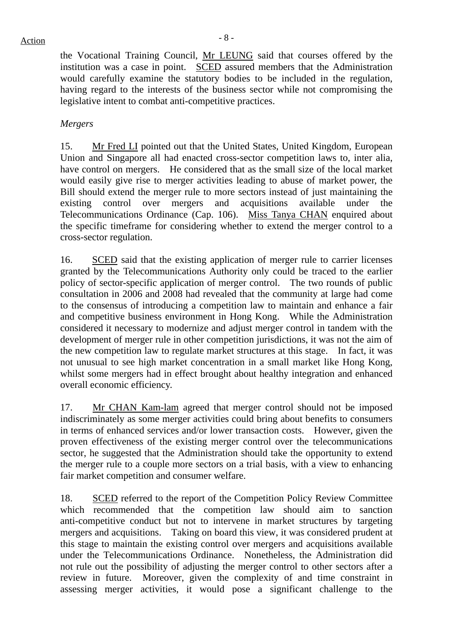the Vocational Training Council, Mr LEUNG said that courses offered by the institution was a case in point. SCED assured members that the Administration would carefully examine the statutory bodies to be included in the regulation, having regard to the interests of the business sector while not compromising the legislative intent to combat anti-competitive practices.

## *Mergers*

15. Mr Fred LI pointed out that the United States, United Kingdom, European Union and Singapore all had enacted cross-sector competition laws to, inter alia, have control on mergers. He considered that as the small size of the local market would easily give rise to merger activities leading to abuse of market power, the Bill should extend the merger rule to more sectors instead of just maintaining the existing control over mergers and acquisitions available under the Telecommunications Ordinance (Cap. 106). Miss Tanya CHAN enquired about the specific timeframe for considering whether to extend the merger control to a cross-sector regulation.

16. SCED said that the existing application of merger rule to carrier licenses granted by the Telecommunications Authority only could be traced to the earlier policy of sector-specific application of merger control. The two rounds of public consultation in 2006 and 2008 had revealed that the community at large had come to the consensus of introducing a competition law to maintain and enhance a fair and competitive business environment in Hong Kong. While the Administration considered it necessary to modernize and adjust merger control in tandem with the development of merger rule in other competition jurisdictions, it was not the aim of the new competition law to regulate market structures at this stage. In fact, it was not unusual to see high market concentration in a small market like Hong Kong, whilst some mergers had in effect brought about healthy integration and enhanced overall economic efficiency.

17. Mr CHAN Kam-lam agreed that merger control should not be imposed indiscriminately as some merger activities could bring about benefits to consumers in terms of enhanced services and/or lower transaction costs. However, given the proven effectiveness of the existing merger control over the telecommunications sector, he suggested that the Administration should take the opportunity to extend the merger rule to a couple more sectors on a trial basis, with a view to enhancing fair market competition and consumer welfare.

18. SCED referred to the report of the Competition Policy Review Committee which recommended that the competition law should aim to sanction anti-competitive conduct but not to intervene in market structures by targeting mergers and acquisitions. Taking on board this view, it was considered prudent at this stage to maintain the existing control over mergers and acquisitions available under the Telecommunications Ordinance. Nonetheless, the Administration did not rule out the possibility of adjusting the merger control to other sectors after a review in future. Moreover, given the complexity of and time constraint in assessing merger activities, it would pose a significant challenge to the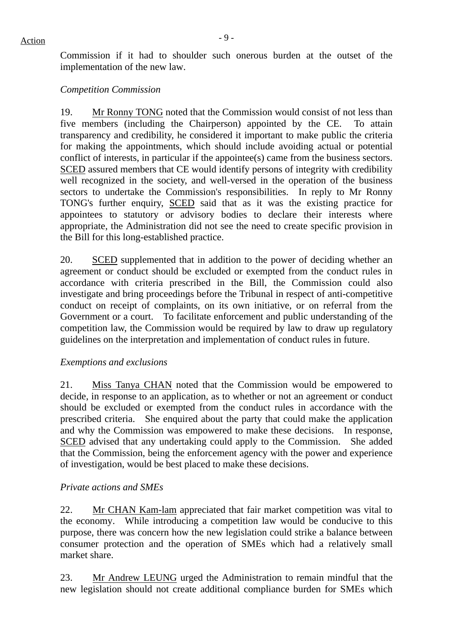Commission if it had to shoulder such onerous burden at the outset of the implementation of the new law.

## *Competition Commission*

19. Mr Ronny TONG noted that the Commission would consist of not less than five members (including the Chairperson) appointed by the CE. To attain transparency and credibility, he considered it important to make public the criteria for making the appointments, which should include avoiding actual or potential conflict of interests, in particular if the appointee(s) came from the business sectors. SCED assured members that CE would identify persons of integrity with credibility well recognized in the society, and well-versed in the operation of the business sectors to undertake the Commission's responsibilities. In reply to Mr Ronny TONG's further enquiry, SCED said that as it was the existing practice for appointees to statutory or advisory bodies to declare their interests where appropriate, the Administration did not see the need to create specific provision in the Bill for this long-established practice.

20. SCED supplemented that in addition to the power of deciding whether an agreement or conduct should be excluded or exempted from the conduct rules in accordance with criteria prescribed in the Bill, the Commission could also investigate and bring proceedings before the Tribunal in respect of anti-competitive conduct on receipt of complaints, on its own initiative, or on referral from the Government or a court. To facilitate enforcement and public understanding of the competition law, the Commission would be required by law to draw up regulatory guidelines on the interpretation and implementation of conduct rules in future.

## *Exemptions and exclusions*

21. Miss Tanya CHAN noted that the Commission would be empowered to decide, in response to an application, as to whether or not an agreement or conduct should be excluded or exempted from the conduct rules in accordance with the prescribed criteria. She enquired about the party that could make the application and why the Commission was empowered to make these decisions. In response, SCED advised that any undertaking could apply to the Commission. She added that the Commission, being the enforcement agency with the power and experience of investigation, would be best placed to make these decisions.

### *Private actions and SMEs*

22. Mr CHAN Kam-lam appreciated that fair market competition was vital to the economy. While introducing a competition law would be conducive to this purpose, there was concern how the new legislation could strike a balance between consumer protection and the operation of SMEs which had a relatively small market share.

23. Mr Andrew LEUNG urged the Administration to remain mindful that the new legislation should not create additional compliance burden for SMEs which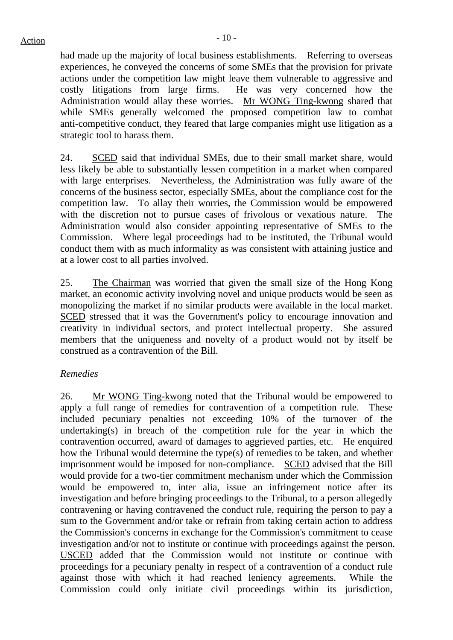had made up the majority of local business establishments. Referring to overseas experiences, he conveyed the concerns of some SMEs that the provision for private actions under the competition law might leave them vulnerable to aggressive and costly litigations from large firms. He was very concerned how the Administration would allay these worries. Mr WONG Ting-kwong shared that while SMEs generally welcomed the proposed competition law to combat anti-competitive conduct, they feared that large companies might use litigation as a strategic tool to harass them.

24. SCED said that individual SMEs, due to their small market share, would less likely be able to substantially lessen competition in a market when compared with large enterprises. Nevertheless, the Administration was fully aware of the concerns of the business sector, especially SMEs, about the compliance cost for the competition law. To allay their worries, the Commission would be empowered with the discretion not to pursue cases of frivolous or vexatious nature. The Administration would also consider appointing representative of SMEs to the Commission. Where legal proceedings had to be instituted, the Tribunal would conduct them with as much informality as was consistent with attaining justice and at a lower cost to all parties involved.

25. The Chairman was worried that given the small size of the Hong Kong market, an economic activity involving novel and unique products would be seen as monopolizing the market if no similar products were available in the local market. SCED stressed that it was the Government's policy to encourage innovation and creativity in individual sectors, and protect intellectual property. She assured members that the uniqueness and novelty of a product would not by itself be construed as a contravention of the Bill.

## *Remedies*

26. Mr WONG Ting-kwong noted that the Tribunal would be empowered to apply a full range of remedies for contravention of a competition rule. These included pecuniary penalties not exceeding 10% of the turnover of the undertaking(s) in breach of the competition rule for the year in which the contravention occurred, award of damages to aggrieved parties, etc. He enquired how the Tribunal would determine the type(s) of remedies to be taken, and whether imprisonment would be imposed for non-compliance. SCED advised that the Bill would provide for a two-tier commitment mechanism under which the Commission would be empowered to, inter alia, issue an infringement notice after its investigation and before bringing proceedings to the Tribunal, to a person allegedly contravening or having contravened the conduct rule, requiring the person to pay a sum to the Government and/or take or refrain from taking certain action to address the Commission's concerns in exchange for the Commission's commitment to cease investigation and/or not to institute or continue with proceedings against the person. USCED added that the Commission would not institute or continue with proceedings for a pecuniary penalty in respect of a contravention of a conduct rule against those with which it had reached leniency agreements. While the Commission could only initiate civil proceedings within its jurisdiction,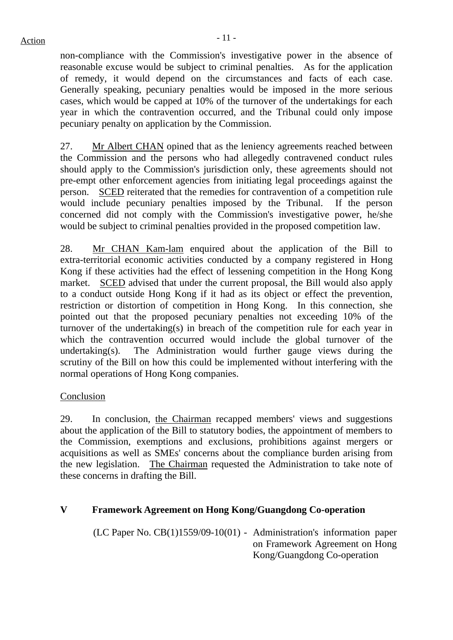$Action$ 

non-compliance with the Commission's investigative power in the absence of reasonable excuse would be subject to criminal penalties. As for the application of remedy, it would depend on the circumstances and facts of each case. Generally speaking, pecuniary penalties would be imposed in the more serious cases, which would be capped at 10% of the turnover of the undertakings for each year in which the contravention occurred, and the Tribunal could only impose pecuniary penalty on application by the Commission.

27. Mr Albert CHAN opined that as the leniency agreements reached between the Commission and the persons who had allegedly contravened conduct rules should apply to the Commission's jurisdiction only, these agreements should not pre-empt other enforcement agencies from initiating legal proceedings against the person. SCED reiterated that the remedies for contravention of a competition rule would include pecuniary penalties imposed by the Tribunal. If the person concerned did not comply with the Commission's investigative power, he/she would be subject to criminal penalties provided in the proposed competition law.

28. Mr CHAN Kam-lam enquired about the application of the Bill to extra-territorial economic activities conducted by a company registered in Hong Kong if these activities had the effect of lessening competition in the Hong Kong market. SCED advised that under the current proposal, the Bill would also apply to a conduct outside Hong Kong if it had as its object or effect the prevention, restriction or distortion of competition in Hong Kong. In this connection, she pointed out that the proposed pecuniary penalties not exceeding 10% of the turnover of the undertaking(s) in breach of the competition rule for each year in which the contravention occurred would include the global turnover of the undertaking(s). The Administration would further gauge views during the scrutiny of the Bill on how this could be implemented without interfering with the normal operations of Hong Kong companies.

# Conclusion

29. In conclusion, the Chairman recapped members' views and suggestions about the application of the Bill to statutory bodies, the appointment of members to the Commission, exemptions and exclusions, prohibitions against mergers or acquisitions as well as SMEs' concerns about the compliance burden arising from the new legislation. The Chairman requested the Administration to take note of these concerns in drafting the Bill.

## **V Framework Agreement on Hong Kong/Guangdong Co-operation**

(LC Paper No. CB(1)1559/09-10(01) - Administration's information paper on Framework Agreement on Hong Kong/Guangdong Co-operation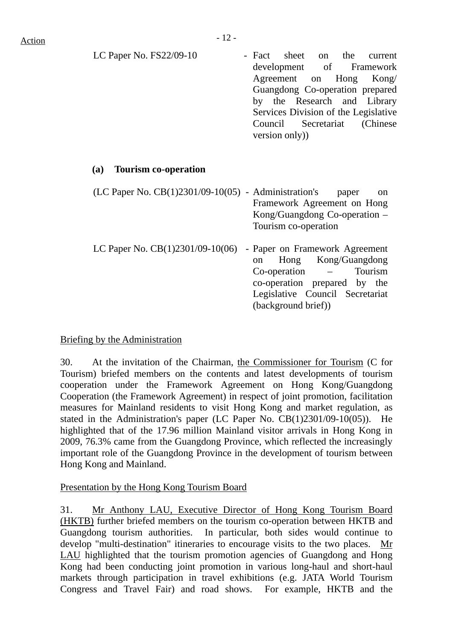LC Paper No. FS22/09-10 - Fact sheet on the current development of Framework Agreement on Hong Kong/ Guangdong Co-operation prepared by the Research and Library Services Division of the Legislative Council Secretariat (Chinese version only))

### **(a) Tourism co-operation**

| $(LC$ Paper No. $CB(1)2301/09-10(05)$ - Administration's | paper<br><sub>on</sub>               |
|----------------------------------------------------------|--------------------------------------|
|                                                          | Framework Agreement on Hong          |
|                                                          | Kong/Guangdong Co-operation –        |
|                                                          | Tourism co-operation                 |
| LC Paper No. $CB(1)2301/09-10(06)$                       | - Paper on Framework Agreement       |
|                                                          | Hong Kong/Guangdong<br><sub>on</sub> |
|                                                          | Tourism<br>$Co-operation$ $-$        |
|                                                          | co-operation prepared by the         |
|                                                          | Legislative Council Secretariat      |
|                                                          | (background brief))                  |

## Briefing by the Administration

30. At the invitation of the Chairman, the Commissioner for Tourism (C for Tourism) briefed members on the contents and latest developments of tourism cooperation under the Framework Agreement on Hong Kong/Guangdong Cooperation (the Framework Agreement) in respect of joint promotion, facilitation measures for Mainland residents to visit Hong Kong and market regulation, as stated in the Administration's paper (LC Paper No. CB(1)2301/09-10(05)). He highlighted that of the 17.96 million Mainland visitor arrivals in Hong Kong in 2009, 76.3% came from the Guangdong Province, which reflected the increasingly important role of the Guangdong Province in the development of tourism between Hong Kong and Mainland.

### Presentation by the Hong Kong Tourism Board

31. Mr Anthony LAU, Executive Director of Hong Kong Tourism Board (HKTB) further briefed members on the tourism co-operation between HKTB and Guangdong tourism authorities. In particular, both sides would continue to develop "multi-destination" itineraries to encourage visits to the two places. Mr LAU highlighted that the tourism promotion agencies of Guangdong and Hong Kong had been conducting joint promotion in various long-haul and short-haul markets through participation in travel exhibitions (e.g. JATA World Tourism Congress and Travel Fair) and road shows. For example, HKTB and the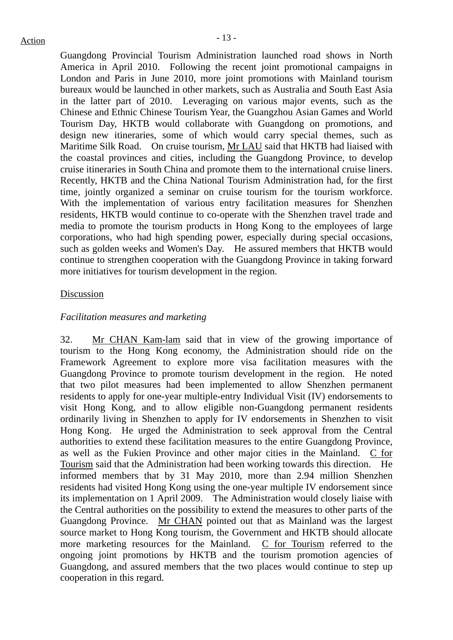Guangdong Provincial Tourism Administration launched road shows in North America in April 2010. Following the recent joint promotional campaigns in London and Paris in June 2010, more joint promotions with Mainland tourism bureaux would be launched in other markets, such as Australia and South East Asia in the latter part of 2010. Leveraging on various major events, such as the Chinese and Ethnic Chinese Tourism Year, the Guangzhou Asian Games and World Tourism Day, HKTB would collaborate with Guangdong on promotions, and design new itineraries, some of which would carry special themes, such as Maritime Silk Road. On cruise tourism, Mr LAU said that HKTB had liaised with the coastal provinces and cities, including the Guangdong Province, to develop cruise itineraries in South China and promote them to the international cruise liners. Recently, HKTB and the China National Tourism Administration had, for the first time, jointly organized a seminar on cruise tourism for the tourism workforce. With the implementation of various entry facilitation measures for Shenzhen residents, HKTB would continue to co-operate with the Shenzhen travel trade and media to promote the tourism products in Hong Kong to the employees of large corporations, who had high spending power, especially during special occasions, such as golden weeks and Women's Day. He assured members that HKTB would continue to strengthen cooperation with the Guangdong Province in taking forward more initiatives for tourism development in the region.

### **Discussion**

#### *Facilitation measures and marketing*

32. Mr CHAN Kam-lam said that in view of the growing importance of tourism to the Hong Kong economy, the Administration should ride on the Framework Agreement to explore more visa facilitation measures with the Guangdong Province to promote tourism development in the region. He noted that two pilot measures had been implemented to allow Shenzhen permanent residents to apply for one-year multiple-entry Individual Visit (IV) endorsements to visit Hong Kong, and to allow eligible non-Guangdong permanent residents ordinarily living in Shenzhen to apply for IV endorsements in Shenzhen to visit Hong Kong. He urged the Administration to seek approval from the Central authorities to extend these facilitation measures to the entire Guangdong Province, as well as the Fukien Province and other major cities in the Mainland. C for Tourism said that the Administration had been working towards this direction. He informed members that by 31 May 2010, more than 2.94 million Shenzhen residents had visited Hong Kong using the one-year multiple IV endorsement since its implementation on 1 April 2009. The Administration would closely liaise with the Central authorities on the possibility to extend the measures to other parts of the Guangdong Province. Mr CHAN pointed out that as Mainland was the largest source market to Hong Kong tourism, the Government and HKTB should allocate more marketing resources for the Mainland. C for Tourism referred to the ongoing joint promotions by HKTB and the tourism promotion agencies of Guangdong, and assured members that the two places would continue to step up cooperation in this regard.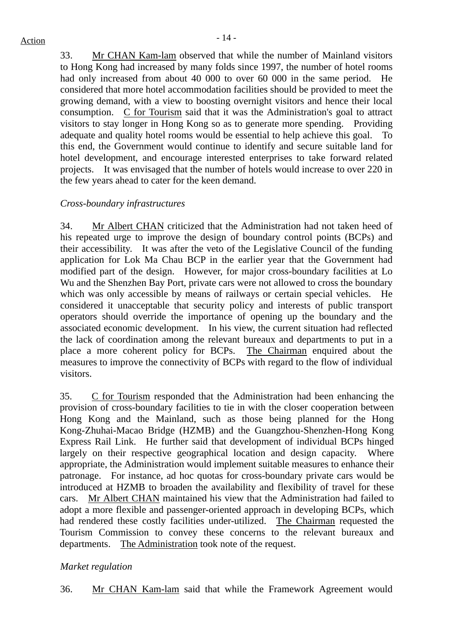33. Mr CHAN Kam-lam observed that while the number of Mainland visitors to Hong Kong had increased by many folds since 1997, the number of hotel rooms had only increased from about 40 000 to over 60 000 in the same period. He considered that more hotel accommodation facilities should be provided to meet the growing demand, with a view to boosting overnight visitors and hence their local consumption. C for Tourism said that it was the Administration's goal to attract visitors to stay longer in Hong Kong so as to generate more spending. Providing adequate and quality hotel rooms would be essential to help achieve this goal. To this end, the Government would continue to identify and secure suitable land for hotel development, and encourage interested enterprises to take forward related projects. It was envisaged that the number of hotels would increase to over 220 in the few years ahead to cater for the keen demand.

## *Cross-boundary infrastructures*

34. Mr Albert CHAN criticized that the Administration had not taken heed of his repeated urge to improve the design of boundary control points (BCPs) and their accessibility. It was after the veto of the Legislative Council of the funding application for Lok Ma Chau BCP in the earlier year that the Government had modified part of the design. However, for major cross-boundary facilities at Lo Wu and the Shenzhen Bay Port, private cars were not allowed to cross the boundary which was only accessible by means of railways or certain special vehicles. He considered it unacceptable that security policy and interests of public transport operators should override the importance of opening up the boundary and the associated economic development. In his view, the current situation had reflected the lack of coordination among the relevant bureaux and departments to put in a place a more coherent policy for BCPs. The Chairman enquired about the measures to improve the connectivity of BCPs with regard to the flow of individual visitors.

35. C for Tourism responded that the Administration had been enhancing the provision of cross-boundary facilities to tie in with the closer cooperation between Hong Kong and the Mainland, such as those being planned for the Hong Kong-Zhuhai-Macao Bridge (HZMB) and the Guangzhou-Shenzhen-Hong Kong Express Rail Link. He further said that development of individual BCPs hinged largely on their respective geographical location and design capacity. Where appropriate, the Administration would implement suitable measures to enhance their patronage. For instance, ad hoc quotas for cross-boundary private cars would be introduced at HZMB to broaden the availability and flexibility of travel for these cars. Mr Albert CHAN maintained his view that the Administration had failed to adopt a more flexible and passenger-oriented approach in developing BCPs, which had rendered these costly facilities under-utilized. The Chairman requested the Tourism Commission to convey these concerns to the relevant bureaux and departments. The Administration took note of the request.

### *Market regulation*

36. Mr CHAN Kam-lam said that while the Framework Agreement would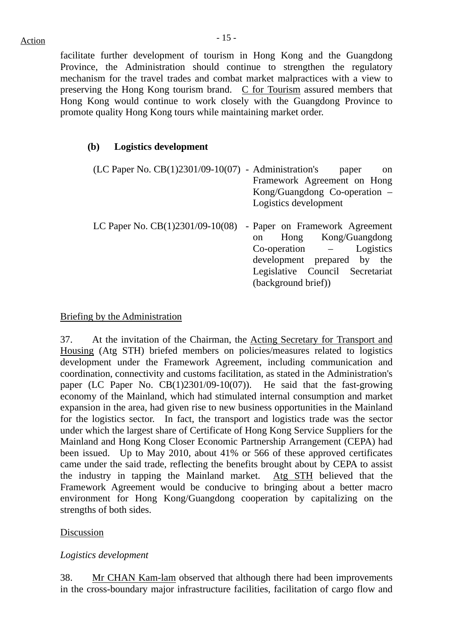facilitate further development of tourism in Hong Kong and the Guangdong Province, the Administration should continue to strengthen the regulatory mechanism for the travel trades and combat market malpractices with a view to preserving the Hong Kong tourism brand. C for Tourism assured members that Hong Kong would continue to work closely with the Guangdong Province to promote quality Hong Kong tours while maintaining market order.

## **(b) Logistics development**

 $(LC$  Paper No.  $CB(1)2301/09-10(07)$  - Administration's paper on Framework Agreement on Hong Kong/Guangdong Co-operation – Logistics development LC Paper No. CB(1)2301/09-10(08) - Paper on Framework Agreement on Hong Kong/Guangdong Co-operation – Logistics development prepared by the

Legislative Council Secretariat

(background brief))

## Briefing by the Administration

37. At the invitation of the Chairman, the Acting Secretary for Transport and Housing (Atg STH) briefed members on policies/measures related to logistics development under the Framework Agreement, including communication and coordination, connectivity and customs facilitation, as stated in the Administration's paper (LC Paper No. CB(1)2301/09-10(07)). He said that the fast-growing economy of the Mainland, which had stimulated internal consumption and market expansion in the area, had given rise to new business opportunities in the Mainland for the logistics sector. In fact, the transport and logistics trade was the sector under which the largest share of Certificate of Hong Kong Service Suppliers for the Mainland and Hong Kong Closer Economic Partnership Arrangement (CEPA) had been issued. Up to May 2010, about 41% or 566 of these approved certificates came under the said trade, reflecting the benefits brought about by CEPA to assist the industry in tapping the Mainland market. Atg STH believed that the Framework Agreement would be conducive to bringing about a better macro environment for Hong Kong/Guangdong cooperation by capitalizing on the strengths of both sides.

## Discussion

## *Logistics development*

38. Mr CHAN Kam-lam observed that although there had been improvements in the cross-boundary major infrastructure facilities, facilitation of cargo flow and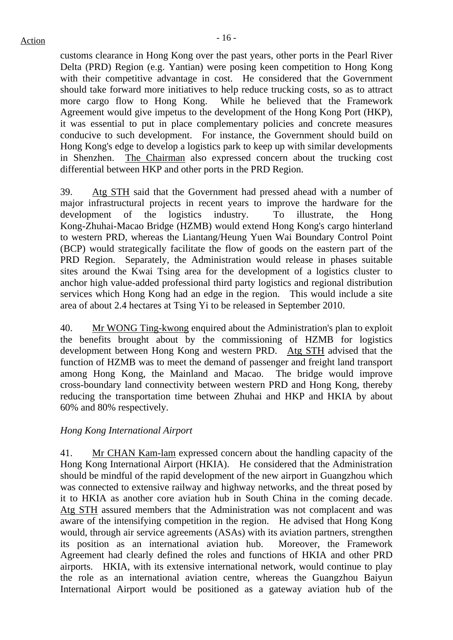customs clearance in Hong Kong over the past years, other ports in the Pearl River Delta (PRD) Region (e.g. Yantian) were posing keen competition to Hong Kong with their competitive advantage in cost. He considered that the Government should take forward more initiatives to help reduce trucking costs, so as to attract more cargo flow to Hong Kong. While he believed that the Framework Agreement would give impetus to the development of the Hong Kong Port (HKP), it was essential to put in place complementary policies and concrete measures conducive to such development. For instance, the Government should build on Hong Kong's edge to develop a logistics park to keep up with similar developments in Shenzhen. The Chairman also expressed concern about the trucking cost differential between HKP and other ports in the PRD Region.

39. Atg STH said that the Government had pressed ahead with a number of major infrastructural projects in recent years to improve the hardware for the development of the logistics industry. To illustrate, the Hong Kong-Zhuhai-Macao Bridge (HZMB) would extend Hong Kong's cargo hinterland to western PRD, whereas the Liantang/Heung Yuen Wai Boundary Control Point (BCP) would strategically facilitate the flow of goods on the eastern part of the PRD Region. Separately, the Administration would release in phases suitable sites around the Kwai Tsing area for the development of a logistics cluster to anchor high value-added professional third party logistics and regional distribution services which Hong Kong had an edge in the region. This would include a site area of about 2.4 hectares at Tsing Yi to be released in September 2010.

40. Mr WONG Ting-kwong enquired about the Administration's plan to exploit the benefits brought about by the commissioning of HZMB for logistics development between Hong Kong and western PRD. Atg STH advised that the function of HZMB was to meet the demand of passenger and freight land transport among Hong Kong, the Mainland and Macao. The bridge would improve cross-boundary land connectivity between western PRD and Hong Kong, thereby reducing the transportation time between Zhuhai and HKP and HKIA by about 60% and 80% respectively.

## *Hong Kong International Airport*

41. Mr CHAN Kam-lam expressed concern about the handling capacity of the Hong Kong International Airport (HKIA). He considered that the Administration should be mindful of the rapid development of the new airport in Guangzhou which was connected to extensive railway and highway networks, and the threat posed by it to HKIA as another core aviation hub in South China in the coming decade. Atg STH assured members that the Administration was not complacent and was aware of the intensifying competition in the region. He advised that Hong Kong would, through air service agreements (ASAs) with its aviation partners, strengthen its position as an international aviation hub. Moreover, the Framework Agreement had clearly defined the roles and functions of HKIA and other PRD airports. HKIA, with its extensive international network, would continue to play the role as an international aviation centre, whereas the Guangzhou Baiyun International Airport would be positioned as a gateway aviation hub of the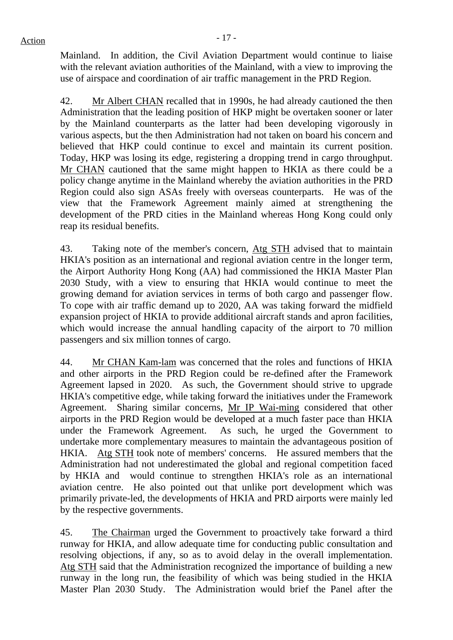Mainland. In addition, the Civil Aviation Department would continue to liaise with the relevant aviation authorities of the Mainland, with a view to improving the use of airspace and coordination of air traffic management in the PRD Region.

42. Mr Albert CHAN recalled that in 1990s, he had already cautioned the then Administration that the leading position of HKP might be overtaken sooner or later by the Mainland counterparts as the latter had been developing vigorously in various aspects, but the then Administration had not taken on board his concern and believed that HKP could continue to excel and maintain its current position. Today, HKP was losing its edge, registering a dropping trend in cargo throughput. Mr CHAN cautioned that the same might happen to HKIA as there could be a policy change anytime in the Mainland whereby the aviation authorities in the PRD Region could also sign ASAs freely with overseas counterparts. He was of the view that the Framework Agreement mainly aimed at strengthening the development of the PRD cities in the Mainland whereas Hong Kong could only reap its residual benefits.

43. Taking note of the member's concern, Atg STH advised that to maintain HKIA's position as an international and regional aviation centre in the longer term, the Airport Authority Hong Kong (AA) had commissioned the HKIA Master Plan 2030 Study, with a view to ensuring that HKIA would continue to meet the growing demand for aviation services in terms of both cargo and passenger flow. To cope with air traffic demand up to 2020, AA was taking forward the midfield expansion project of HKIA to provide additional aircraft stands and apron facilities, which would increase the annual handling capacity of the airport to 70 million passengers and six million tonnes of cargo.

44. Mr CHAN Kam-lam was concerned that the roles and functions of HKIA and other airports in the PRD Region could be re-defined after the Framework Agreement lapsed in 2020. As such, the Government should strive to upgrade HKIA's competitive edge, while taking forward the initiatives under the Framework Agreement. Sharing similar concerns, Mr IP Wai-ming considered that other airports in the PRD Region would be developed at a much faster pace than HKIA under the Framework Agreement. As such, he urged the Government to undertake more complementary measures to maintain the advantageous position of HKIA. Atg STH took note of members' concerns. He assured members that the Administration had not underestimated the global and regional competition faced by HKIA and would continue to strengthen HKIA's role as an international aviation centre. He also pointed out that unlike port development which was primarily private-led, the developments of HKIA and PRD airports were mainly led by the respective governments.

45. The Chairman urged the Government to proactively take forward a third runway for HKIA, and allow adequate time for conducting public consultation and resolving objections, if any, so as to avoid delay in the overall implementation. Atg STH said that the Administration recognized the importance of building a new runway in the long run, the feasibility of which was being studied in the HKIA Master Plan 2030 Study. The Administration would brief the Panel after the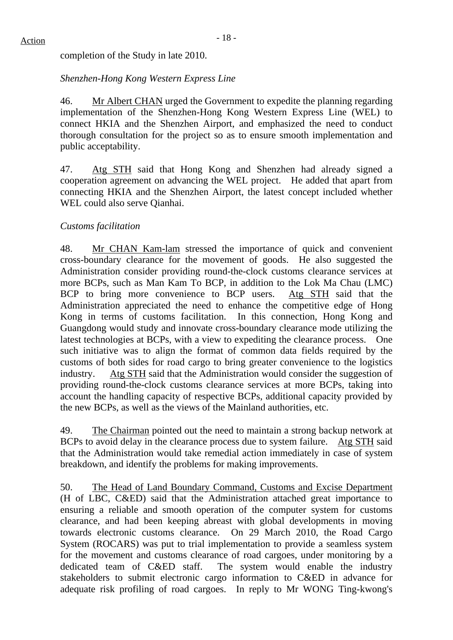completion of the Study in late 2010.

## *Shenzhen-Hong Kong Western Express Line*

46. Mr Albert CHAN urged the Government to expedite the planning regarding implementation of the Shenzhen-Hong Kong Western Express Line (WEL) to connect HKIA and the Shenzhen Airport, and emphasized the need to conduct thorough consultation for the project so as to ensure smooth implementation and public acceptability.

47. Atg STH said that Hong Kong and Shenzhen had already signed a cooperation agreement on advancing the WEL project. He added that apart from connecting HKIA and the Shenzhen Airport, the latest concept included whether WEL could also serve Qianhai.

## *Customs facilitation*

48. Mr CHAN Kam-lam stressed the importance of quick and convenient cross-boundary clearance for the movement of goods. He also suggested the Administration consider providing round-the-clock customs clearance services at more BCPs, such as Man Kam To BCP, in addition to the Lok Ma Chau (LMC) BCP to bring more convenience to BCP users. Atg STH said that the Administration appreciated the need to enhance the competitive edge of Hong Kong in terms of customs facilitation. In this connection, Hong Kong and Guangdong would study and innovate cross-boundary clearance mode utilizing the latest technologies at BCPs, with a view to expediting the clearance process. One such initiative was to align the format of common data fields required by the customs of both sides for road cargo to bring greater convenience to the logistics industry. Atg STH said that the Administration would consider the suggestion of providing round-the-clock customs clearance services at more BCPs, taking into account the handling capacity of respective BCPs, additional capacity provided by the new BCPs, as well as the views of the Mainland authorities, etc.

49. The Chairman pointed out the need to maintain a strong backup network at BCPs to avoid delay in the clearance process due to system failure. Atg STH said that the Administration would take remedial action immediately in case of system breakdown, and identify the problems for making improvements.

50. The Head of Land Boundary Command, Customs and Excise Department (H of LBC, C&ED) said that the Administration attached great importance to ensuring a reliable and smooth operation of the computer system for customs clearance, and had been keeping abreast with global developments in moving towards electronic customs clearance. On 29 March 2010, the Road Cargo System (ROCARS) was put to trial implementation to provide a seamless system for the movement and customs clearance of road cargoes, under monitoring by a dedicated team of C&ED staff. The system would enable the industry stakeholders to submit electronic cargo information to C&ED in advance for adequate risk profiling of road cargoes. In reply to Mr WONG Ting-kwong's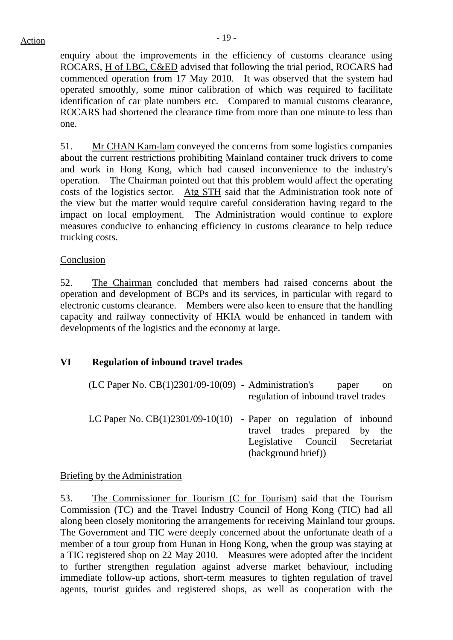enquiry about the improvements in the efficiency of customs clearance using ROCARS, H of LBC, C&ED advised that following the trial period, ROCARS had commenced operation from 17 May 2010. It was observed that the system had operated smoothly, some minor calibration of which was required to facilitate identification of car plate numbers etc. Compared to manual customs clearance, ROCARS had shortened the clearance time from more than one minute to less than one.

51. Mr CHAN Kam-lam conveyed the concerns from some logistics companies about the current restrictions prohibiting Mainland container truck drivers to come and work in Hong Kong, which had caused inconvenience to the industry's operation. The Chairman pointed out that this problem would affect the operating costs of the logistics sector. Atg STH said that the Administration took note of the view but the matter would require careful consideration having regard to the impact on local employment. The Administration would continue to explore measures conducive to enhancing efficiency in customs clearance to help reduce trucking costs.

## Conclusion

52. The Chairman concluded that members had raised concerns about the operation and development of BCPs and its services, in particular with regard to electronic customs clearance. Members were also keen to ensure that the handling capacity and railway connectivity of HKIA would be enhanced in tandem with developments of the logistics and the economy at large.

## **VI Regulation of inbound travel trades**

| $(LC$ Paper No. $CB(1)2301/09-10(09)$ - Administration's | paper<br>-on<br>regulation of inbound travel trades                                                                                                            |
|----------------------------------------------------------|----------------------------------------------------------------------------------------------------------------------------------------------------------------|
|                                                          |                                                                                                                                                                |
|                                                          | LC Paper No. $CB(1)2301/09-10(10)$ - Paper on regulation of inbound<br>travel trades prepared by the<br>Legislative Council Secretariat<br>(background brief)) |

### Briefing by the Administration

53. The Commissioner for Tourism (C for Tourism) said that the Tourism Commission (TC) and the Travel Industry Council of Hong Kong (TIC) had all along been closely monitoring the arrangements for receiving Mainland tour groups. The Government and TIC were deeply concerned about the unfortunate death of a member of a tour group from Hunan in Hong Kong, when the group was staying at a TIC registered shop on 22 May 2010. Measures were adopted after the incident to further strengthen regulation against adverse market behaviour, including immediate follow-up actions, short-term measures to tighten regulation of travel agents, tourist guides and registered shops, as well as cooperation with the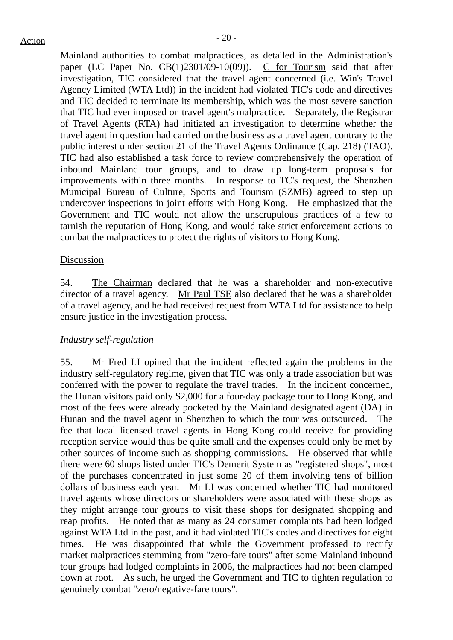Mainland authorities to combat malpractices, as detailed in the Administration's paper (LC Paper No. CB(1)2301/09-10(09)). C for Tourism said that after investigation, TIC considered that the travel agent concerned (i.e. Win's Travel Agency Limited (WTA Ltd)) in the incident had violated TIC's code and directives and TIC decided to terminate its membership, which was the most severe sanction that TIC had ever imposed on travel agent's malpractice. Separately, the Registrar of Travel Agents (RTA) had initiated an investigation to determine whether the travel agent in question had carried on the business as a travel agent contrary to the public interest under section 21 of the Travel Agents Ordinance (Cap. 218) (TAO). TIC had also established a task force to review comprehensively the operation of inbound Mainland tour groups, and to draw up long-term proposals for improvements within three months. In response to TC's request, the Shenzhen Municipal Bureau of Culture, Sports and Tourism (SZMB) agreed to step up undercover inspections in joint efforts with Hong Kong. He emphasized that the Government and TIC would not allow the unscrupulous practices of a few to tarnish the reputation of Hong Kong, and would take strict enforcement actions to combat the malpractices to protect the rights of visitors to Hong Kong.

#### Discussion

54. The Chairman declared that he was a shareholder and non-executive director of a travel agency. Mr Paul TSE also declared that he was a shareholder of a travel agency, and he had received request from WTA Ltd for assistance to help ensure justice in the investigation process.

### *Industry self-regulation*

55. Mr Fred LI opined that the incident reflected again the problems in the industry self-regulatory regime, given that TIC was only a trade association but was conferred with the power to regulate the travel trades. In the incident concerned, the Hunan visitors paid only \$2,000 for a four-day package tour to Hong Kong, and most of the fees were already pocketed by the Mainland designated agent (DA) in Hunan and the travel agent in Shenzhen to which the tour was outsourced. The fee that local licensed travel agents in Hong Kong could receive for providing reception service would thus be quite small and the expenses could only be met by other sources of income such as shopping commissions. He observed that while there were 60 shops listed under TIC's Demerit System as "registered shops", most of the purchases concentrated in just some 20 of them involving tens of billion dollars of business each year. Mr LI was concerned whether TIC had monitored travel agents whose directors or shareholders were associated with these shops as they might arrange tour groups to visit these shops for designated shopping and reap profits. He noted that as many as 24 consumer complaints had been lodged against WTA Ltd in the past, and it had violated TIC's codes and directives for eight times. He was disappointed that while the Government professed to rectify market malpractices stemming from "zero-fare tours" after some Mainland inbound tour groups had lodged complaints in 2006, the malpractices had not been clamped down at root. As such, he urged the Government and TIC to tighten regulation to genuinely combat "zero/negative-fare tours".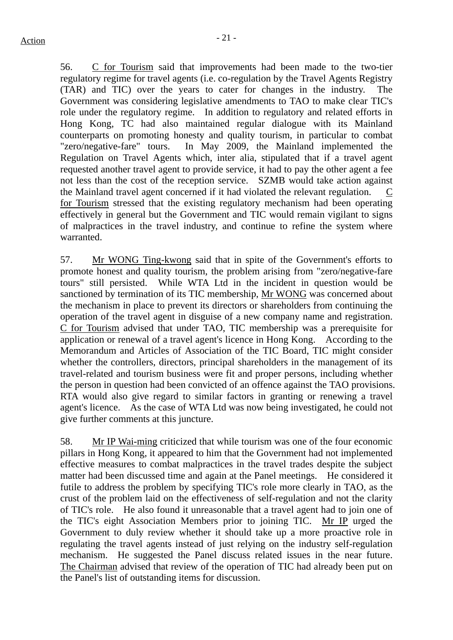56. C for Tourism said that improvements had been made to the two-tier regulatory regime for travel agents (i.e. co-regulation by the Travel Agents Registry (TAR) and TIC) over the years to cater for changes in the industry. The Government was considering legislative amendments to TAO to make clear TIC's role under the regulatory regime. In addition to regulatory and related efforts in Hong Kong, TC had also maintained regular dialogue with its Mainland counterparts on promoting honesty and quality tourism, in particular to combat "zero/negative-fare" tours. In May 2009, the Mainland implemented the Regulation on Travel Agents which, inter alia, stipulated that if a travel agent requested another travel agent to provide service, it had to pay the other agent a fee not less than the cost of the reception service. SZMB would take action against the Mainland travel agent concerned if it had violated the relevant regulation. C for Tourism stressed that the existing regulatory mechanism had been operating effectively in general but the Government and TIC would remain vigilant to signs of malpractices in the travel industry, and continue to refine the system where warranted.

57. Mr WONG Ting-kwong said that in spite of the Government's efforts to promote honest and quality tourism, the problem arising from "zero/negative-fare tours" still persisted. While WTA Ltd in the incident in question would be sanctioned by termination of its TIC membership, Mr WONG was concerned about the mechanism in place to prevent its directors or shareholders from continuing the operation of the travel agent in disguise of a new company name and registration. C for Tourism advised that under TAO, TIC membership was a prerequisite for application or renewal of a travel agent's licence in Hong Kong. According to the Memorandum and Articles of Association of the TIC Board, TIC might consider whether the controllers, directors, principal shareholders in the management of its travel-related and tourism business were fit and proper persons, including whether the person in question had been convicted of an offence against the TAO provisions. RTA would also give regard to similar factors in granting or renewing a travel agent's licence. As the case of WTA Ltd was now being investigated, he could not give further comments at this juncture.

58. Mr IP Wai-ming criticized that while tourism was one of the four economic pillars in Hong Kong, it appeared to him that the Government had not implemented effective measures to combat malpractices in the travel trades despite the subject matter had been discussed time and again at the Panel meetings. He considered it futile to address the problem by specifying TIC's role more clearly in TAO, as the crust of the problem laid on the effectiveness of self-regulation and not the clarity of TIC's role. He also found it unreasonable that a travel agent had to join one of the TIC's eight Association Members prior to joining TIC. Mr IP urged the Government to duly review whether it should take up a more proactive role in regulating the travel agents instead of just relying on the industry self-regulation mechanism. He suggested the Panel discuss related issues in the near future. The Chairman advised that review of the operation of TIC had already been put on the Panel's list of outstanding items for discussion.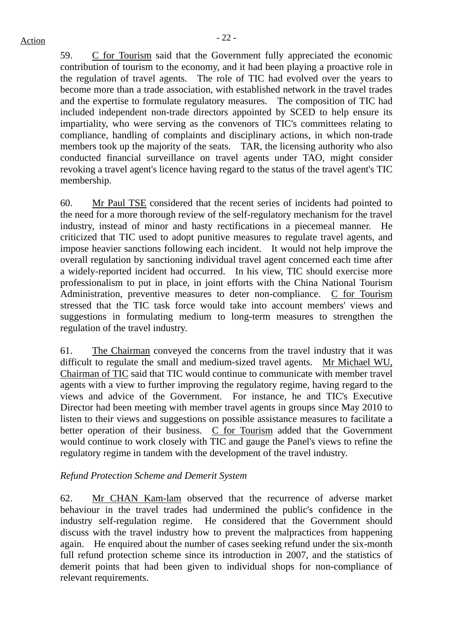59. C for Tourism said that the Government fully appreciated the economic contribution of tourism to the economy, and it had been playing a proactive role in the regulation of travel agents. The role of TIC had evolved over the years to become more than a trade association, with established network in the travel trades and the expertise to formulate regulatory measures. The composition of TIC had included independent non-trade directors appointed by SCED to help ensure its impartiality, who were serving as the convenors of TIC's committees relating to compliance, handling of complaints and disciplinary actions, in which non-trade members took up the majority of the seats. TAR, the licensing authority who also conducted financial surveillance on travel agents under TAO, might consider revoking a travel agent's licence having regard to the status of the travel agent's TIC membership.

60. Mr Paul TSE considered that the recent series of incidents had pointed to the need for a more thorough review of the self-regulatory mechanism for the travel industry, instead of minor and hasty rectifications in a piecemeal manner. He criticized that TIC used to adopt punitive measures to regulate travel agents, and impose heavier sanctions following each incident. It would not help improve the overall regulation by sanctioning individual travel agent concerned each time after a widely-reported incident had occurred. In his view, TIC should exercise more professionalism to put in place, in joint efforts with the China National Tourism Administration, preventive measures to deter non-compliance. C for Tourism stressed that the TIC task force would take into account members' views and suggestions in formulating medium to long-term measures to strengthen the regulation of the travel industry.

61. The Chairman conveyed the concerns from the travel industry that it was difficult to regulate the small and medium-sized travel agents. Mr Michael WU, Chairman of TIC said that TIC would continue to communicate with member travel agents with a view to further improving the regulatory regime, having regard to the views and advice of the Government. For instance, he and TIC's Executive Director had been meeting with member travel agents in groups since May 2010 to listen to their views and suggestions on possible assistance measures to facilitate a better operation of their business.  $C$  for Tourism added that the Government would continue to work closely with TIC and gauge the Panel's views to refine the regulatory regime in tandem with the development of the travel industry.

## *Refund Protection Scheme and Demerit System*

62. Mr CHAN Kam-lam observed that the recurrence of adverse market behaviour in the travel trades had undermined the public's confidence in the industry self-regulation regime. He considered that the Government should discuss with the travel industry how to prevent the malpractices from happening again. He enquired about the number of cases seeking refund under the six-month full refund protection scheme since its introduction in 2007, and the statistics of demerit points that had been given to individual shops for non-compliance of relevant requirements.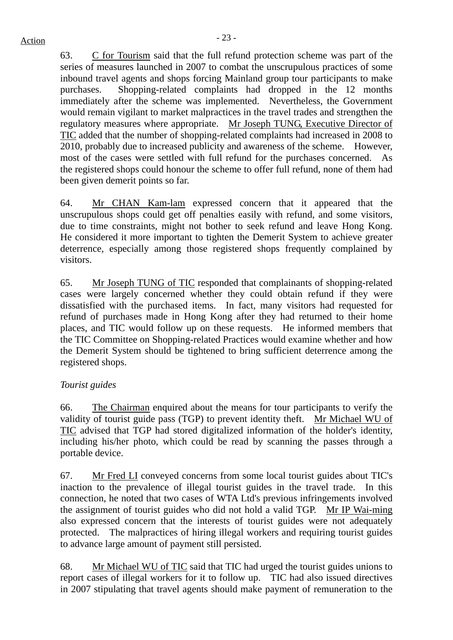63. C for Tourism said that the full refund protection scheme was part of the series of measures launched in 2007 to combat the unscrupulous practices of some inbound travel agents and shops forcing Mainland group tour participants to make purchases. Shopping-related complaints had dropped in the 12 months immediately after the scheme was implemented. Nevertheless, the Government would remain vigilant to market malpractices in the travel trades and strengthen the regulatory measures where appropriate. Mr Joseph TUNG, Executive Director of TIC added that the number of shopping-related complaints had increased in 2008 to 2010, probably due to increased publicity and awareness of the scheme. However, most of the cases were settled with full refund for the purchases concerned. As the registered shops could honour the scheme to offer full refund, none of them had been given demerit points so far.

64. Mr CHAN Kam-lam expressed concern that it appeared that the unscrupulous shops could get off penalties easily with refund, and some visitors, due to time constraints, might not bother to seek refund and leave Hong Kong. He considered it more important to tighten the Demerit System to achieve greater deterrence, especially among those registered shops frequently complained by visitors.

65. Mr Joseph TUNG of TIC responded that complainants of shopping-related cases were largely concerned whether they could obtain refund if they were dissatisfied with the purchased items. In fact, many visitors had requested for refund of purchases made in Hong Kong after they had returned to their home places, and TIC would follow up on these requests. He informed members that the TIC Committee on Shopping-related Practices would examine whether and how the Demerit System should be tightened to bring sufficient deterrence among the registered shops.

# *Tourist guides*

66. The Chairman enquired about the means for tour participants to verify the validity of tourist guide pass (TGP) to prevent identity theft. Mr Michael WU of TIC advised that TGP had stored digitalized information of the holder's identity, including his/her photo, which could be read by scanning the passes through a portable device.

67. Mr Fred LI conveyed concerns from some local tourist guides about TIC's inaction to the prevalence of illegal tourist guides in the travel trade. In this connection, he noted that two cases of WTA Ltd's previous infringements involved the assignment of tourist guides who did not hold a valid TGP. Mr IP Wai-ming also expressed concern that the interests of tourist guides were not adequately protected. The malpractices of hiring illegal workers and requiring tourist guides to advance large amount of payment still persisted.

68. Mr Michael WU of TIC said that TIC had urged the tourist guides unions to report cases of illegal workers for it to follow up. TIC had also issued directives in 2007 stipulating that travel agents should make payment of remuneration to the